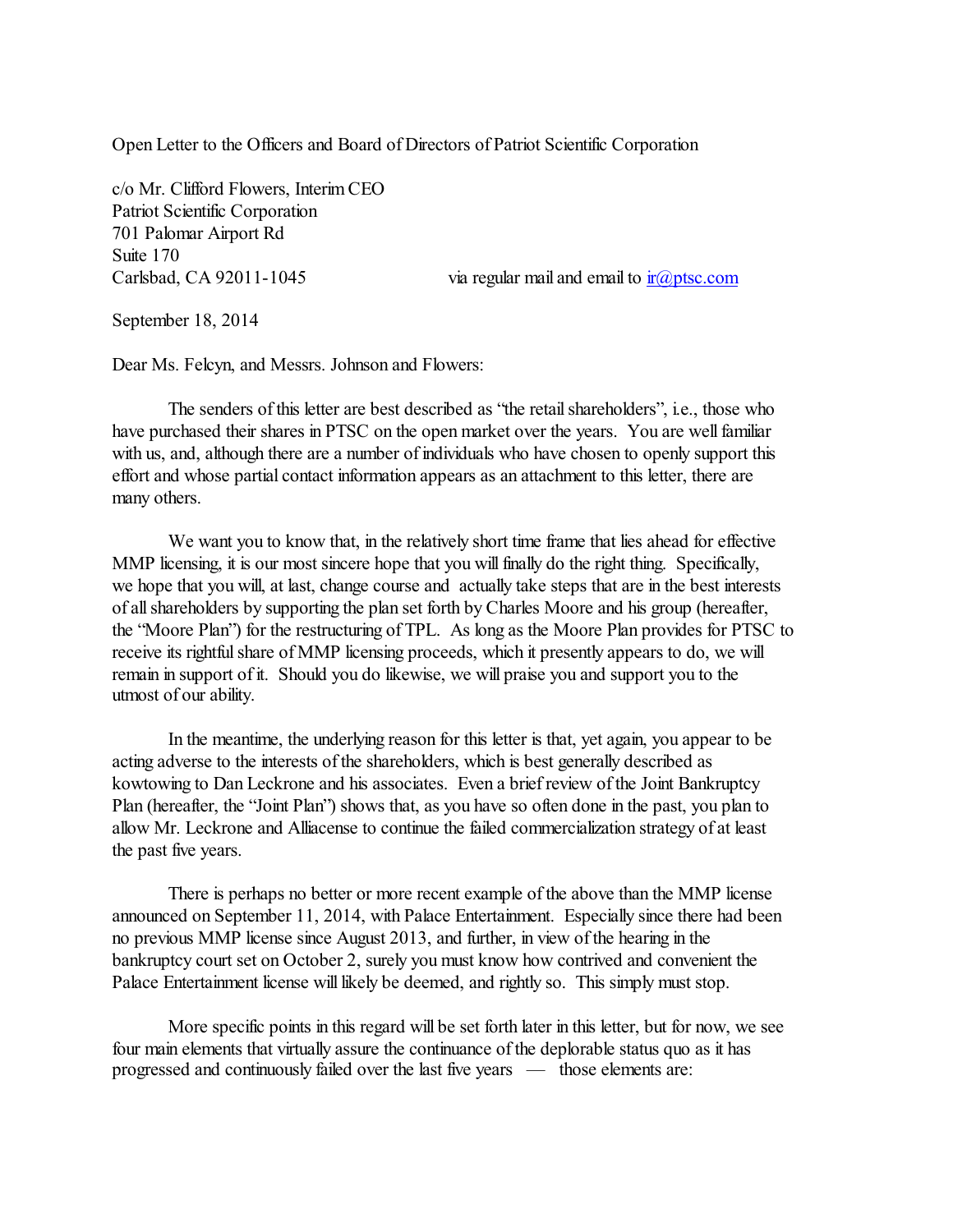Open Letter to the Officers and Board of Directors of Patriot Scientific Corporation

c/o Mr. Clifford Flowers, Interim CEO Patriot Scientific Corporation 701 Palomar Airport Rd Suite 170

Carlsbad, CA 92011-1045 via regular mail and email to  $\frac{ir(\alpha) + ir(\alpha)}{ir(\alpha)}$ 

September 18, 2014

Dear Ms. Felcyn, and Messrs. Johnson and Flowers:

The senders of this letter are best described as "the retail shareholders", i.e., those who have purchased their shares in PTSC on the open market over the years. You are well familiar with us, and, although there are a number of individuals who have chosen to openly support this effort and whose partial contact information appears as an attachment to this letter, there are many others.

We want you to know that, in the relatively short time frame that lies ahead for effective MMP licensing, it is our most sincere hope that you will finally do the right thing. Specifically, we hope that you will, at last, change course and actually take steps that are in the best interests of all shareholders by supporting the plan set forth by Charles Moore and his group (hereafter, the "Moore Plan") for the restructuring of TPL. As long as the Moore Plan provides for PTSC to receive its rightful share of MMP licensing proceeds, which it presently appears to do, we will remain in support of it. Should you do likewise, we will praise you and support you to the utmost of our ability.

In the meantime, the underlying reason for this letter is that, yet again, you appear to be acting adverse to the interests of the shareholders, which is best generally described as kowtowing to Dan Leckrone and his associates. Even a brief review of the Joint Bankruptcy Plan (hereafter, the "Joint Plan") shows that, as you have so often done in the past, you plan to allow Mr. Leckrone and Alliacense to continue the failed commercialization strategy of at least the past five years.

There is perhaps no better or more recent example of the above than the MMP license announced on September 11, 2014, with Palace Entertainment. Especially since there had been no previous MMP license since August 2013, and further, in view of the hearing in the bankruptcy court set on October 2, surely you must know how contrived and convenient the Palace Entertainment license will likely be deemed, and rightly so. This simply must stop.

More specific points in this regard will be set forth later in this letter, but for now, we see four main elements that virtually assure the continuance of the deplorable status quo as it has progressed and continuously failed over the last five years — those elements are: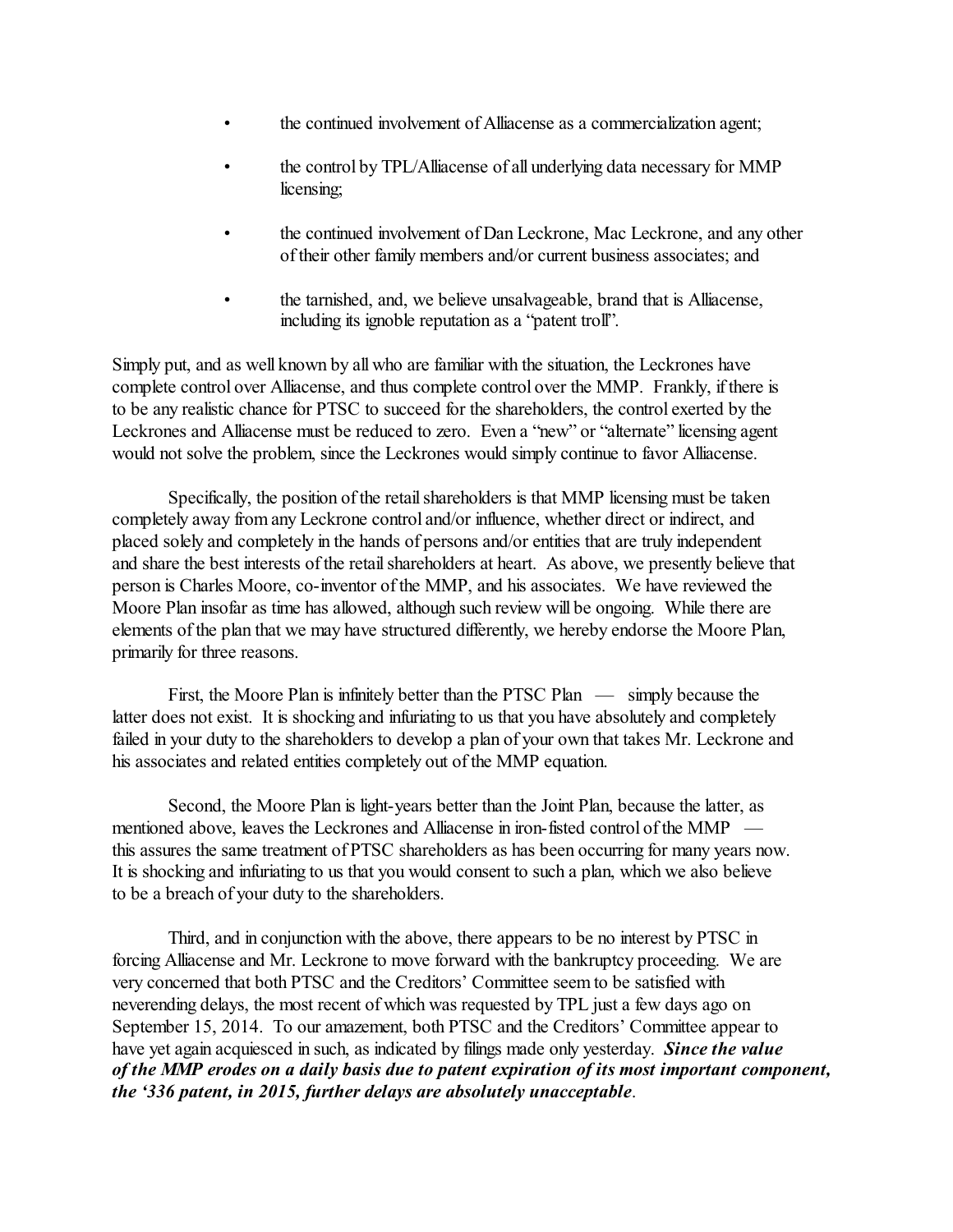- the continued involvement of Alliacense as a commercialization agent;
- the control by TPL/Alliacense of all underlying data necessary for MMP licensing;
- the continued involvement of Dan Leckrone, Mac Leckrone, and any other of their other family members and/or current business associates; and
- the tarnished, and, we believe unsalvageable, brand that is Alliacense, including its ignoble reputation as a "patent troll".

Simply put, and as well known by all who are familiar with the situation, the Leckrones have complete control over Alliacense, and thus complete control over the MMP. Frankly, if there is to be any realistic chance for PTSC to succeed for the shareholders, the control exerted by the Leckrones and Alliacense must be reduced to zero. Even a "new" or "alternate" licensing agent would not solve the problem, since the Leckrones would simply continue to favor Alliacense.

Specifically, the position of the retail shareholders is that MMP licensing must be taken completely away fromany Leckrone control and/or influence, whether direct or indirect, and placed solely and completely in the hands of persons and/or entities that are truly independent and share the best interests of the retail shareholders at heart. As above, we presently believe that person is Charles Moore, co-inventor of the MMP, and his associates. We have reviewed the Moore Plan insofar as time has allowed, although such review will be ongoing. While there are elements of the plan that we may have structured differently, we hereby endorse the Moore Plan, primarily for three reasons.

First, the Moore Plan is infinitely better than the PTSC Plan — simply because the latter does not exist. It is shocking and infuriating to us that you have absolutely and completely failed in your duty to the shareholders to develop a plan of your own that takes Mr. Leckrone and his associates and related entities completely out of the MMP equation.

Second, the Moore Plan is light-years better than the Joint Plan, because the latter, as mentioned above, leaves the Leckrones and Alliacense in iron-fisted control of the MMP this assures the same treatment of PTSC shareholders as has been occurring for many years now. It is shocking and infuriating to us that you would consent to such a plan, which we also believe to be a breach of your duty to the shareholders.

Third, and in conjunction with the above, there appears to be no interest by PTSC in forcing Alliacense and Mr. Leckrone to move forward with the bankruptcy proceeding. We are very concerned that both PTSC and the Creditors' Committee seem to be satisfied with neverending delays, the most recent of which was requested by TPL just a few days ago on September 15, 2014. To our amazement, both PTSC and the Creditors' Committee appear to have yet again acquiesced in such, as indicated by filings made only yesterday. *Since the value of the MMP erodes on a daily basis due to patent expiration of its most important component, the '336 patent, in 2015, further delays are absolutely unacceptable*.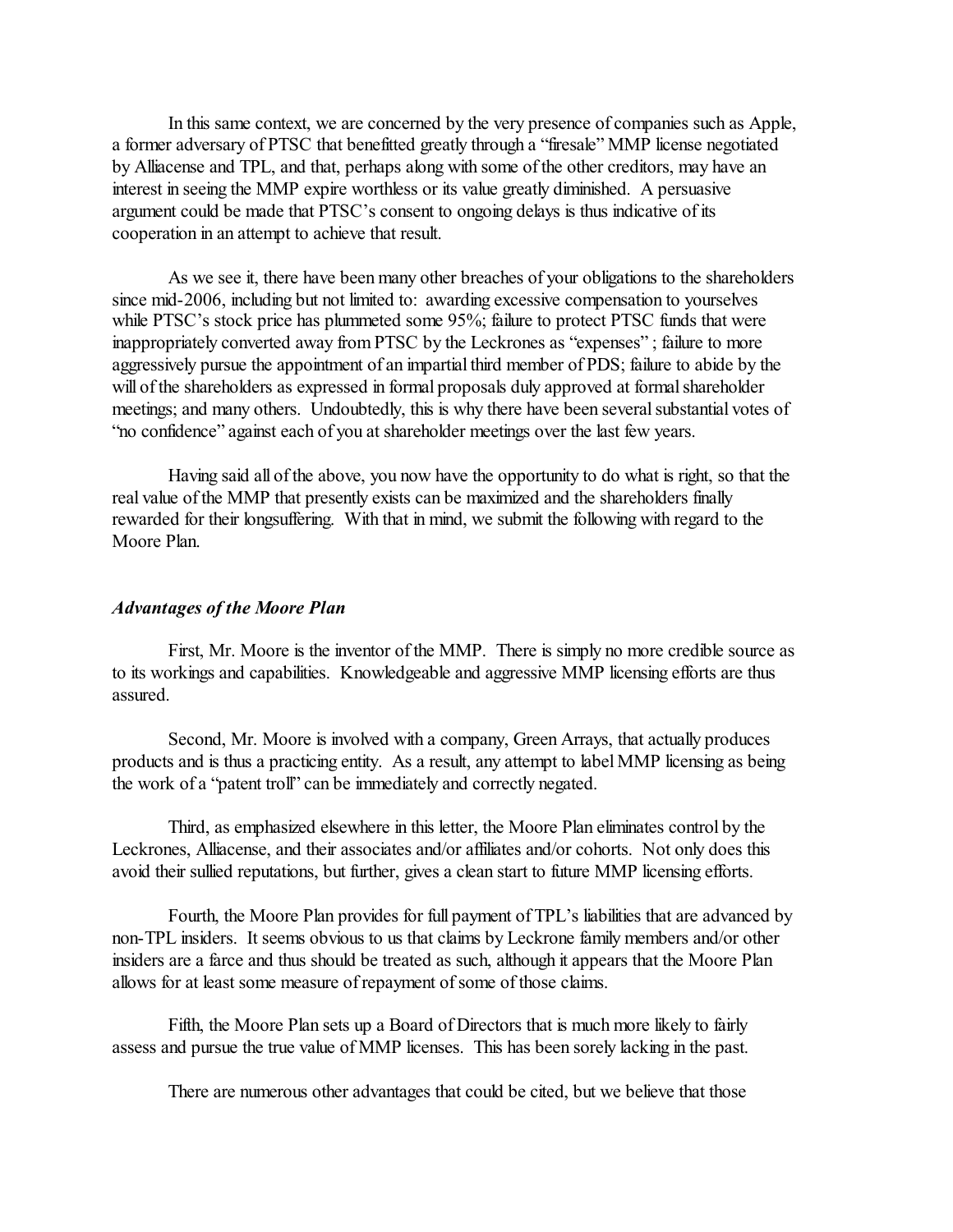In this same context, we are concerned by the very presence of companies such as Apple, a former adversary of PTSC that benefitted greatly through a "firesale" MMP license negotiated by Alliacense and TPL, and that, perhaps along with some of the other creditors, may have an interest in seeing the MMP expire worthless or its value greatly diminished. A persuasive argument could be made that PTSC's consent to ongoing delays is thus indicative of its cooperation in an attempt to achieve that result.

As we see it, there have been many other breaches of your obligations to the shareholders since mid-2006, including but not limited to: awarding excessive compensation to yourselves while PTSC's stock price has plummeted some 95%; failure to protect PTSC funds that were inappropriately converted away from PTSC by the Leckrones as "expenses" ; failure to more aggressively pursue the appointment of an impartial third member of PDS; failure to abide by the will of the shareholders as expressed in formal proposals duly approved at formal shareholder meetings; and many others. Undoubtedly, this is why there have been several substantial votes of "no confidence" against each of you at shareholder meetings over the last few years.

Having said all of the above, you now have the opportunity to do what is right, so that the real value of the MMP that presently exists can be maximized and the shareholders finally rewarded for their longsuffering. With that in mind, we submit the following with regard to the Moore Plan.

## *Advantages of the Moore Plan*

First, Mr. Moore is the inventor of the MMP. There is simply no more credible source as to its workings and capabilities. Knowledgeable and aggressive MMP licensing efforts are thus assured.

Second, Mr. Moore is involved with a company, Green Arrays, that actually produces products and is thus a practicing entity. As a result, any attempt to label MMP licensing as being the work of a "patent troll" can be immediately and correctly negated.

Third, as emphasized elsewhere in this letter, the Moore Plan eliminates control by the Leckrones, Alliacense, and their associates and/or affiliates and/or cohorts. Not only does this avoid their sullied reputations, but further, gives a clean start to future MMP licensing efforts.

Fourth, the Moore Plan provides for full payment of TPL's liabilities that are advanced by non-TPL insiders. It seems obvious to us that claims by Leckrone family members and/or other insiders are a farce and thus should be treated as such, although it appears that the Moore Plan allows for at least some measure of repayment of some of those claims.

Fifth, the Moore Plan sets up a Board of Directors that is much more likely to fairly assess and pursue the true value of MMP licenses. This has been sorely lacking in the past.

There are numerous other advantages that could be cited, but we believe that those